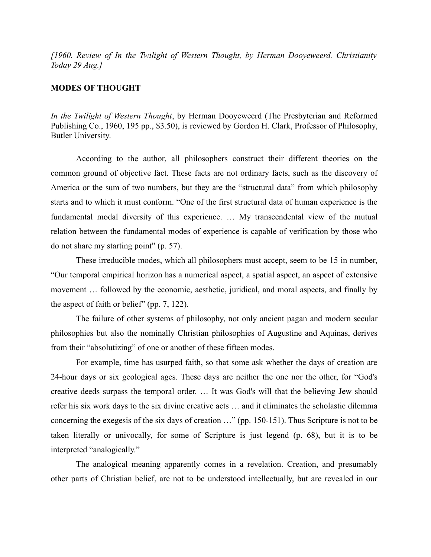*[1960. Review of In the Twilight of Western Thought, by Herman Dooyeweerd. Christianity Today 29 Aug.]*

## **MODES OF THOUGHT**

*In the Twilight of Western Thought*, by Herman Dooyeweerd (The Presbyterian and Reformed Publishing Co., 1960, 195 pp., \$3.50), is reviewed by Gordon H. Clark, Professor of Philosophy, Butler University.

According to the author, all philosophers construct their different theories on the common ground of objective fact. These facts are not ordinary facts, such as the discovery of America or the sum of two numbers, but they are the "structural data" from which philosophy starts and to which it must conform. "One of the first structural data of human experience is the fundamental modal diversity of this experience. … My transcendental view of the mutual relation between the fundamental modes of experience is capable of verification by those who do not share my starting point" (p. 57).

These irreducible modes, which all philosophers must accept, seem to be 15 in number, "Our temporal empirical horizon has a numerical aspect, a spatial aspect, an aspect of extensive movement … followed by the economic, aesthetic, juridical, and moral aspects, and finally by the aspect of faith or belief" (pp. 7, 122).

The failure of other systems of philosophy, not only ancient pagan and modern secular philosophies but also the nominally Christian philosophies of Augustine and Aquinas, derives from their "absolutizing" of one or another of these fifteen modes.

For example, time has usurped faith, so that some ask whether the days of creation are 24-hour days or six geological ages. These days are neither the one nor the other, for "God's creative deeds surpass the temporal order. … It was God's will that the believing Jew should refer his six work days to the six divine creative acts … and it eliminates the scholastic dilemma concerning the exegesis of the six days of creation …" (pp. 150-151). Thus Scripture is not to be taken literally or univocally, for some of Scripture is just legend (p. 68), but it is to be interpreted "analogically."

The analogical meaning apparently comes in a revelation. Creation, and presumably other parts of Christian belief, are not to be understood intellectually, but are revealed in our